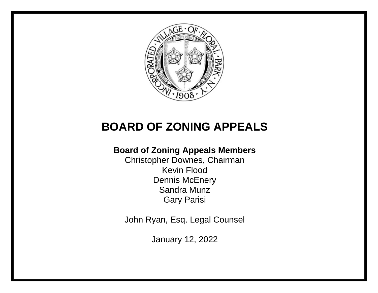

# **BOARD OF ZONING APPEALS**

# **Board of Zoning Appeals Members**

Christopher Downes, Chairman Kevin Flood Dennis McEnery Sandra Munz Gary Parisi

John Ryan, Esq. Legal Counsel

January 12, 2022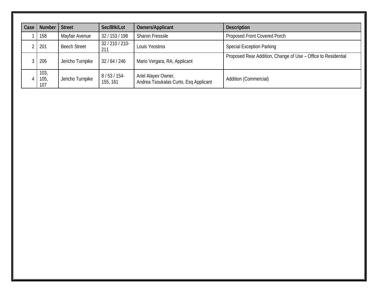| Case | <b>Number</b>       | <b>Street</b>       | Sec/Blk/Lot            | <b>Owners/Applicant</b>                                      | <b>Description</b>                                            |
|------|---------------------|---------------------|------------------------|--------------------------------------------------------------|---------------------------------------------------------------|
|      | 158                 | Mayfair Avenue      | 32 / 153 / 198         | <b>Sharon Fresssle</b>                                       | Proposed Front Covered Porch                                  |
|      | 201                 | <b>Beech Street</b> | 32 / 210 / 210-<br>211 | Louis Yeostros                                               | <b>Special Exception Parking</b>                              |
|      | 206                 | Jericho Turnpike    | 32/64/246              | Mario Vergara, RA, Applicant                                 | Proposed Rear Addition, Change of Use - Office to Residential |
|      | 103,<br>105,<br>107 | Jericho Turnpike    | 8/53/154<br>155, 161   | Ariel Alayev Owner,<br>Andrea Tsoukalas Curto, Esq Applicant | Addition (Commercial)                                         |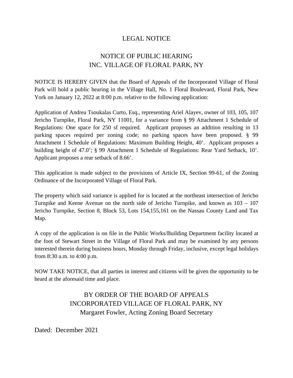### NOTICE OF PUBLIC HEARING INC. VILLAGE OF FLORAL PARK, NY

NOTICE IS HEREBY GIVEN that the Board of Appeals of the Incorporated Village of Floral Park will hold a public hearing in the Village Hall, No. 1 Floral Boulevard, Floral Park, New York on January 12, 2022 at 8:00 p.m. relative to the following application:

Application of Andrea Tsoukalas Curto, Esq., representing Ariel Alayev, owner of 103, 105, 107 Jericho Turnpike, Floral Park, NY 11001, for a variance from § 99 Attachment 1 Schedule of Regulations: One space for 250 sf required. Applicant proposes an addition resulting in 13 parking spaces required per zoning code; no parking spaces have been proposed. § 99 Attachment 1 Schedule of Regulations: Maximum Building Height, 40'. Applicant proposes a building height of 47.0'; § 99 Attachment 1 Schedule of Regulations: Rear Yard Setback, 10'. Applicant proposes a rear setback of 8.66'.

This application is made subject to the provisions of Article IX, Section 99-61, of the Zoning Ordinance of the Incorporated Village of Floral Park.

The property which said variance is applied for is located at the northeast intersection of Jericho Turnpike and Keene Avenue on the north side of Jericho Turnpike, and known as 103 – 107 Jericho Turnpike, Section 8, Block 53, Lots 154,155,161 on the Nassau County Land and Tax Map.

A copy of the application is on file in the Public Works/Building Department facility located at the foot of Stewart Street in the Village of Floral Park and may be examined by any persons interested therein during business hours, Monday through Friday, inclusive, except legal holidays from 8:30 a.m. to 4:00 p.m.

NOW TAKE NOTICE, that all parties in interest and citizens will be given the opportunity to be heard at the aforesaid time and place.

## BY ORDER OF THE BOARD OF APPEALS INCORPORATED VILLAGE OF FLORAL PARK, NY Margaret Fowler, Acting Zoning Board Secretary

Dated: December 2021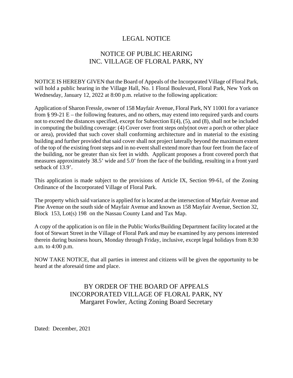#### NOTICE OF PUBLIC HEARING INC. VILLAGE OF FLORAL PARK, NY

NOTICE IS HEREBY GIVEN that the Board of Appeals of the Incorporated Village of Floral Park, will hold a public hearing in the Village Hall, No. 1 Floral Boulevard, Floral Park, New York on Wednesday, January 12, 2022 at 8:00 p.m. relative to the following application:

Application of Sharon Fressle, owner of 158 Mayfair Avenue, Floral Park, NY 11001 for a variance from § 99-21 E – the following features, and no others, may extend into required yards and courts not to exceed the distances specified, except for Subsection E(4), (5), and (8), shall not be included in computing the building coverage: (4) Cover over front steps only(not over a porch or other place or area), provided that such cover shall conforming architecture and in material to the existing building and further provided that said cover shall not project laterally beyond the maximum extent of the top of the existing front steps and in no event shall extend more than four feet from the face of the building, nor be greater than six feet in width. Applicant proposes a front covered porch that measures approximately 38.5' wide and 5.0' from the face of the building, resulting in a front yard setback of 13.9'.

This application is made subject to the provisions of Article IX, Section 99-61, of the Zoning Ordinance of the Incorporated Village of Floral Park.

The property which said variance is applied for islocated at the intersection of Mayfair Avenue and Pine Avenue on the south side of Mayfair Avenue and known as 158 Mayfair Avenue, Section 32, Block 153, Lot(s) 198 on the Nassau County Land and Tax Map.

A copy of the application is on file in the Public Works/Building Department facility located at the foot of Stewart Street in the Village of Floral Park and may be examined by any persons interested therein during business hours, Monday through Friday, inclusive, except legal holidays from 8:30 a.m. to 4:00 p.m.

NOW TAKE NOTICE, that all parties in interest and citizens will be given the opportunity to be heard at the aforesaid time and place.

#### BY ORDER OF THE BOARD OF APPEALS INCORPORATED VILLAGE OF FLORAL PARK, NY Margaret Fowler, Acting Zoning Board Secretary

Dated: December, 2021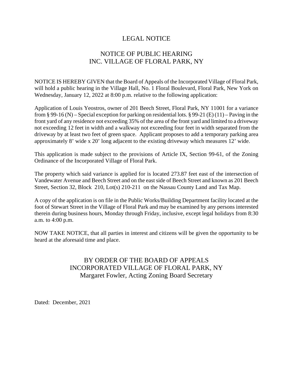#### NOTICE OF PUBLIC HEARING INC. VILLAGE OF FLORAL PARK, NY

NOTICE IS HEREBY GIVEN that the Board of Appeals of the Incorporated Village of Floral Park, will hold a public hearing in the Village Hall, No. 1 Floral Boulevard, Floral Park, New York on Wednesday, January 12, 2022 at 8:00 p.m. relative to the following application:

Application of Louis Yeostros, owner of 201 Beech Street, Floral Park, NY 11001 for a variance from § 99-16 (N) – Special exception for parking on residential lots. § 99-21 (E) (11) – Paving in the front yard of any residence not exceeding 35% of the area of the front yard and limited to a driveway not exceeding 12 feet in width and a walkway not exceeding four feet in width separated from the driveway by at least two feet of green space. Applicant proposes to add a temporary parking area approximately 8' wide x 20' long adjacent to the existing driveway which measures 12' wide.

This application is made subject to the provisions of Article IX, Section 99-61, of the Zoning Ordinance of the Incorporated Village of Floral Park.

The property which said variance is applied for is located 273.87 feet east of the intersection of Vandewater Avenue and Beech Street and on the east side of Beech Street and known as 201 Beech Street, Section 32, Block 210, Lot(s) 210-211 on the Nassau County Land and Tax Map.

A copy of the application is on file in the Public Works/Building Department facility located at the foot of Stewart Street in the Village of Floral Park and may be examined by any persons interested therein during business hours, Monday through Friday, inclusive, except legal holidays from 8:30 a.m. to 4:00 p.m.

NOW TAKE NOTICE, that all parties in interest and citizens will be given the opportunity to be heard at the aforesaid time and place.

#### BY ORDER OF THE BOARD OF APPEALS INCORPORATED VILLAGE OF FLORAL PARK, NY Margaret Fowler, Acting Zoning Board Secretary

Dated: December, 2021